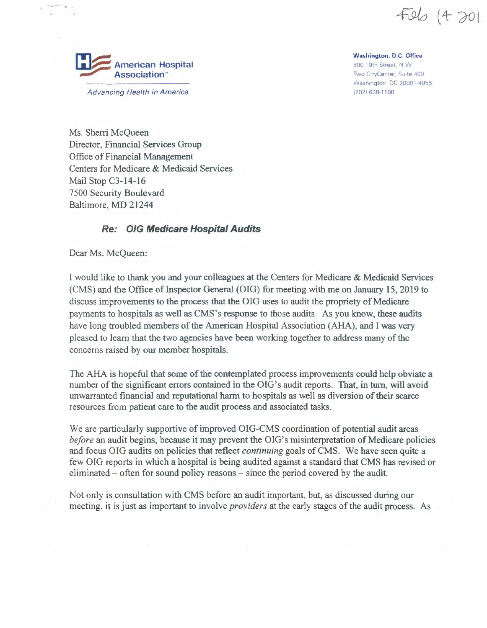Field (4 201



**Washington, D.C. Office** 800 '0th Street, <sup>N</sup> W Two CityCenter, Suite 400 Washington. DC 20001-4956

(202\ 638-1100

*Advancing Health in America*

Ms. Sherri McQueen Director, Financial Services Group Office of Financial Management Centers for Medicare & Medicaid Services Mail Stop C3-14-16 7500 Security Boulevard Baltimore, MD 21244

## *Re:* **0/G** *Medicare HospitalAudits*

Dear Ms. McQueen:

<sup>I</sup> would like to thank you and your colleagues at the Centers for Medicare & Medicaid Services (CMS) and the Office of Inspector General (OIG) for meeting with me on January 15, 2019 to discuss improvements to the process that the OIG uses to audit the propriety of Medicare payments to hospitals as well as CMS's response to those audits. As you know, these audits have long troubled members of the American Hospital Association (AHA), and I was very pleased to learn that the two agencies have been working together to address many of the concerns raised by our member hospitals.

The AHA is hopeful that some of the contemplated process improvements could help obviate a number of the significant errors contained in the OIG's audit reports. That, in turn, will avoid unwarranted financial and reputational harm to hospitals as well as diversion oftheir scarce resources from patient care to the audit process and associated tasks.

We are particularly supportive of improved OIG-CMS coordination of potential audit areas *before* an audit begins, because it may prevent the OIG's misinterpretation of Medicare policies and focus OIG audits on policies that reflect *continuing* goals of CMS. We have seen quite a few OIG reports in which a hospital is being audited against a standard that CMS has revised or eliminated  $-$  often for sound policy reasons  $-$  since the period covered by the audit.

Not only is consultation with CMS before an audit important, but, as discussed during our meeting, it is just as important to involve *providers* at the early stages of the audit process. As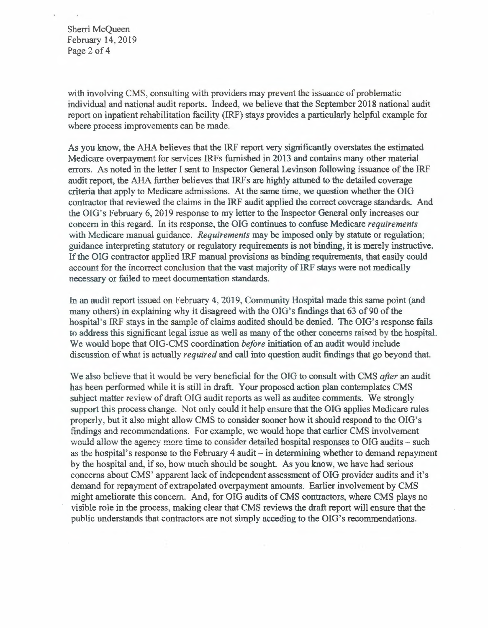Sherri McQueen February 14, 2019 Page <sup>2</sup> of <sup>4</sup>

with involving CMS, consulting with providers may prevent the issuance of problematic individual and national audit reports. Indeed, we believe that the September 2018 national audit report on inpatient rehabilitation facility (IRF) stays provides a particularly helpful example for where process improvements can be made.

As you know, the AHA believes that the IRF report very significantly overstates the estimated Medicare overpayment for services IRFs furnished in 2013 and contains many other material errors. As noted in the letter I sent to Inspector General Levinson following issuance of the IRF audit report, the AHA further believes that IRFs are highly attuned to the detailed coverage criteria that apply to Medicare admissions. At the same time, we question whether the OIG contractor that reviewed the claims in the IRF audit applied the correct coverage standards. And the OIG's February 6, 2019 response to my letter to the Inspector General only increases our concern in this regard. In its response, the OIG continues to confuse Medicare *requirements* with Medicare manual guidance. *Requirements* may be imposed only by statute or regulation; guidance interpreting statutory or regulatory requirements is not binding, it is merely instructive. If the OIG contractor applied IRF manual provisions as binding requirements, that easily could account for the incorrect conclusion that the vast majority of IRF stays were not medically necessary or failed to meet documentation standards.

In an audit report issued on February 4, 2019, Community Hospital made this same point (and many others) in explaining why it disagreed with the OIG's findings that 63 of 90 of the hospital's IRF stays in the sample of claims audited should be denied. The OIG's response fails to address this significant legal issue as well as many of the other concerns raised by the hospital. We would hope that OIG-CMS coordination *before* initiation of an audit would include discussion of what is actually *required* and call into question audit findings that go beyond that.

We also believe that it would be very beneficial for the OIG to consult with CMS *after* an audit has been performed while it is still in draft. Your proposed action plan contemplates CMS subject matter review of draft OIG audit reports as well as auditee comments. We strongly support this process change. Not only could it help ensure that the OIG applies Medicare rules properly, but it also might allow CMS to consider sooner how it should respond to the OIG's findings and recommendations. For example, we would hope that earlier CMS involvement would allow the agency more time to consider detailed hospital responses to OIG audits - such as the hospital's response to the February <sup>4</sup> audit-in determining whether to demand repayment by the hospital and, if so, how much should be sought. As you know, we have had serious concerns about CMS' apparent lack of independent assessment of OIG provider audits and it's demand for repayment of extrapolated overpayment amounts. Earlier involvement by CMS might ameliorate this concern. And, for OIG audits of CMS contractors, where CMS plays no visible role in the process, making clear that CMS reviews the draft report will ensure that the public understands that contractors are not simply acceding to the OIG's recommendations.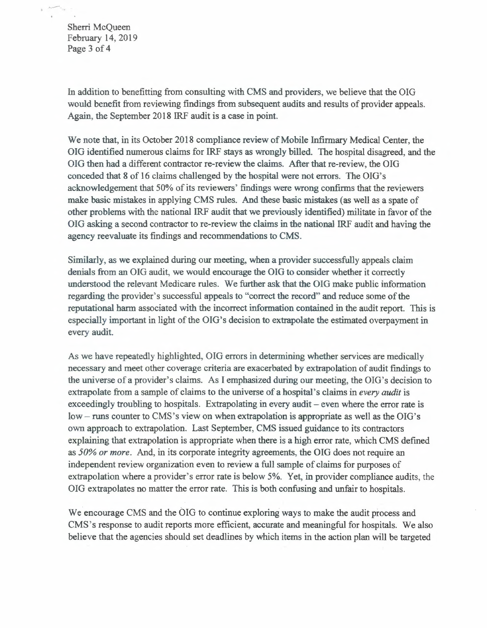Sherri McQueen February 14, 2019 Page 3 of 4

In addition to benefitting from consulting with CMS and providers, we believe that the OIG would benefit from reviewing findings from subsequent audits and results of provider appeals. Again, the September 2018 IRF audit is a case in point.

We note that, in its October 2018 compliance review of Mobile Infirmary Medical Center, the OIG identified numerous claims for IRF stays as wrongly billed. The hospital disagreed, and the OIG then had a different contractor re-reviewthe claims. After that re-review, the OIG conceded that <sup>8</sup> of 16 claims challenged by the hospital were not errors. The OIG's acknowledgement that 50% of its reviewers' findings were wrong confirms that the reviewers make basic mistakes in applying CMS rules. And these basic mistakes (as well as a spate of other problems with the national IRF audit that we previously identified) militate in favor of the OIG asking a second contractor to re-review the claims in the national IRF audit and having the agency reevaluate its findings and recommendations to CMS.

Similarly, as we explained during our meeting, when a provider successfully appeals claim denials from an OIG audit, we would encourage the OIG to consider whether it correctly understood the relevant Medicare rules. We further ask that the OIG make public information regarding the provider's successful appeals to "correct the record" and reduce some of the reputational harm associated with the incorrect information contained in the audit report. This is especially important in light of the OIG's decision to extrapolate the estimated overpayment in every audit.

As we have repeatedly highlighted, OIG errors in determining whether services are medically necessary and meet other coverage criteria are exacerbated by extrapolation of audit findings to the universe of a provider's claims. As I emphasized during our meeting, the OIG's decision to extrapolate from a sample of claims to the universe of a hospital's claims in *every audit* is exceedingly troubling to hospita extrapolate from a sample of claims to the universe of a hospital's claims in *every audit* is exceedingly troubling to hospitals. Extrapolating in every audit – even where the error rate is  $\text{low}$  – runs counter to CMS's view on when extrapolation is appropriate as well as the OIG's own approach to extrapolation. Last September, CMS issued guidance to its contractors explaining that extrapolation is appropriate when there is a high error rate, which CMS defined as *50% or more.* And, in its corporate integrity agreements, the OIG does not require an independent review organization even to review <sup>a</sup> full sample of claims for purposes of extrapolation where a provider's error rate is below 5%. Yet, in provider compliance audits, the OIG extrapolates no matter the error rate. This is both confusing and unfair to hospitals.

We encourage CMS and the OIG to continue exploring ways to make the audit process and CMS's response to audit reports more efficient, accurate and meaningful for hospitals. We also believe that the agencies should set deadlines by which items in the action plan will be targeted